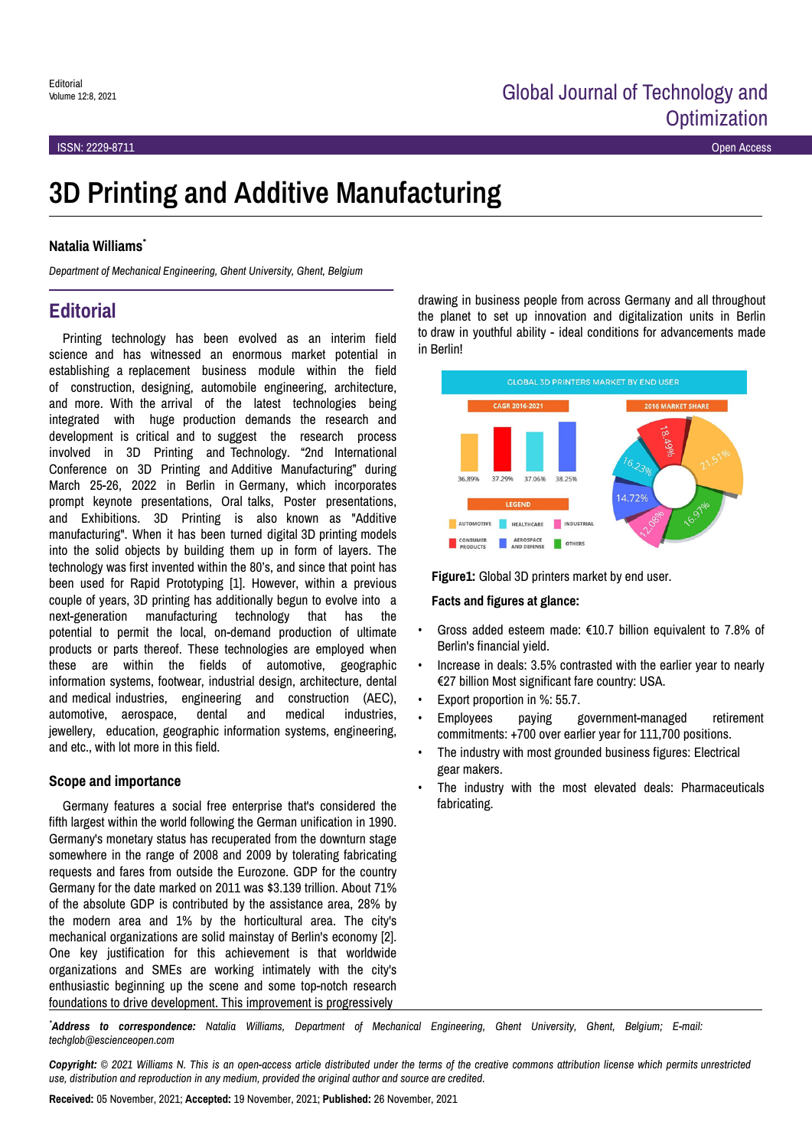# **3D Printing and Additive Manufacturing**

#### **Natalia Williams**\*

*Department of Mechanical Engineering, Ghent University, Ghent, Belgium*

## **Editorial**

Printing technology has been evolved as an interim field science and has witnessed an enormous market potential in establishing a replacement business module within the field of construction, designing, automobile engineering, architecture, and more. With the arrival of the latest technologies being integrated with huge production demands the research and development is critical and to suggest the research process involved in 3D Printing and Technology. "2nd International Conference on 3D Printing and Additive Manufacturing" during March 25-26, 2022 in Berlin in Germany, which incorporates prompt keynote presentations, Oral talks, Poster presentations, and Exhibitions. 3D Printing is also known as "Additive manufacturing". When it has been turned digital 3D printing models into the solid objects by building them up in form of layers. The technology was first invented within the 80's, and since that point has been used for Rapid Prototyping [1]. However, within a previous couple of years, 3D printing has additionally begun to evolve into a next-generation manufacturing technology that has the potential to permit the local, on-demand production of ultimate products or parts thereof. These technologies are employed when these are within the fields of automotive, geographic information systems, footwear, industrial design, architecture, dental and medical industries, engineering and construction (AEC), automotive, aerospace, dental and medical industries, jewellery, education, geographic information systems, engineering, and etc., with lot more in this field.

#### **Scope and importance**

Germany features a social free enterprise that's considered the fifth largest within the world following the German unification in 1990. Germany's monetary status has recuperated from the downturn stage somewhere in the range of 2008 and 2009 by tolerating fabricating requests and fares from outside the Eurozone. GDP for the country Germany for the date marked on 2011 was \$3.139 trillion. About 71% of the absolute GDP is contributed by the assistance area, 28% by the modern area and 1% by the horticultural area. The city's mechanical organizations are solid mainstay of Berlin's economy [2]. One key justification for this achievement is that worldwide organizations and SMEs are working intimately with the city's enthusiastic beginning up the scene and some top-notch research foundations to drive development. This improvement is progressively

drawing in business people from across Germany and all throughout the planet to set up innovation and digitalization units in Berlin to draw in youthful ability - ideal conditions for advancements made in Berlin!



**Figure1:** Global 3D printers market by end user.

#### **Facts and figures at glance:**

- Gross added esteem made: €10.7 billion equivalent to 7.8% of Berlin's financial yield.
- Increase in deals: 3.5% contrasted with the earlier year to nearly €27 billion Most significant fare country: USA.
- Export proportion in %: 55.7.
- Employees paying government-managed retirement commitments: +700 over earlier year for 111,700 positions.
- The industry with most grounded business figures: Electrical gear makers.
- The industry with the most elevated deals: Pharmaceuticals fabricating.

*\*Address to correspondence: Natalia Williams, Department of Mechanical Engineering, Ghent University, Ghent, Belgium; E-mail: techglob@escienceopen.com*

*Copyright: © 2021 Williams N. This is an open-access article distributed under the terms of the creative commons attribution license which permits unrestricted use, distribution and reproduction in any medium, provided the original author and source are credited.*

**Received:** 05 November, 2021; **Accepted:** 19 November, 2021; **Published:** 26 November, 2021